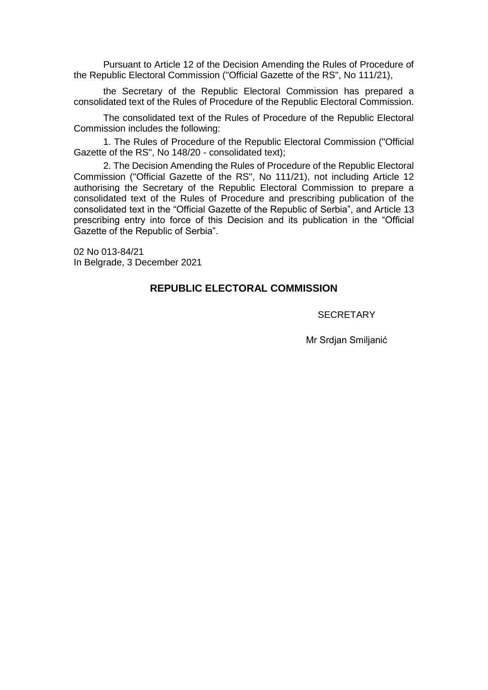Pursuant to Article 12 of the Decision Amending the Rules of Procedure of the Republic Electoral Commission ("Official Gazette of the RS", No 111/21),

the Secretary of the Republic Electoral Commission has prepared a consolidated text of the Rules of Procedure of the Republic Electoral Commission.

The consolidated text of the Rules of Procedure of the Republic Electoral Commission includes the following:

1. The Rules of Procedure of the Republic Electoral Commission ("Official Gazette of the RS", No 148/20 - consolidated text);

2. The Decision Amending the Rules of Procedure of the Republic Electoral Commission ("Official Gazette of the RS", No 111/21), not including Article 12 authorising the Secretary of the Republic Electoral Commission to prepare a consolidated text of the Rules of Procedure and prescribing publication of the consolidated text in the "Official Gazette of the Republic of Serbia", and Article 13 prescribing entry into force of this Decision and its publication in the "Official Gazette of the Republic of Serbia".

02 No 013-84/21 In Belgrade, 3 December 2021

# **REPUBLIC ELECTORAL COMMISSION**

**SECRETARY** 

Mr Srdjan Smiljanić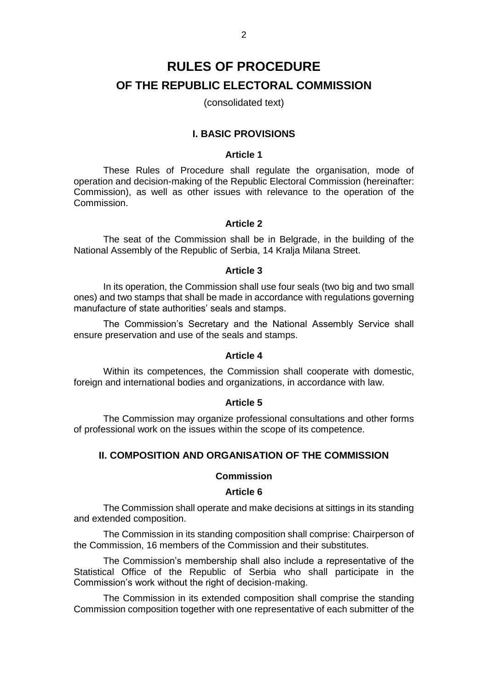# **RULES OF PROCEDURE OF THE REPUBLIC ELECTORAL COMMISSION**

(consolidated text)

# **I. BASIC PROVISIONS**

### **Article 1**

These Rules of Procedure shall regulate the organisation, mode of operation and decision-making of the Republic Electoral Commission (hereinafter: Commission), as well as other issues with relevance to the operation of the Commission.

#### **Article 2**

The seat of the Commission shall be in Belgrade, in the building of the National Assembly of the Republic of Serbia, 14 Kralja Milana Street.

#### **Article 3**

In its operation, the Commission shall use four seals (two big and two small ones) and two stamps that shall be made in accordance with regulations governing manufacture of state authorities' seals and stamps.

The Commission's Secretary and the National Assembly Service shall ensure preservation and use of the seals and stamps.

# **Article 4**

Within its competences, the Commission shall cooperate with domestic, foreign and international bodies and organizations, in accordance with law.

# **Article 5**

The Commission may organize professional consultations and other forms of professional work on the issues within the scope of its competence.

# **II. COMPOSITION AND ORGANISATION OF THE COMMISSION**

#### **Commission**

#### **Article 6**

The Commission shall operate and make decisions at sittings in its standing and extended composition.

The Commission in its standing composition shall comprise: Chairperson of the Commission, 16 members of the Commission and their substitutes.

The Commission's membership shall also include a representative of the Statistical Office of the Republic of Serbia who shall participate in the Commission's work without the right of decision-making.

The Commission in its extended composition shall comprise the standing Commission composition together with one representative of each submitter of the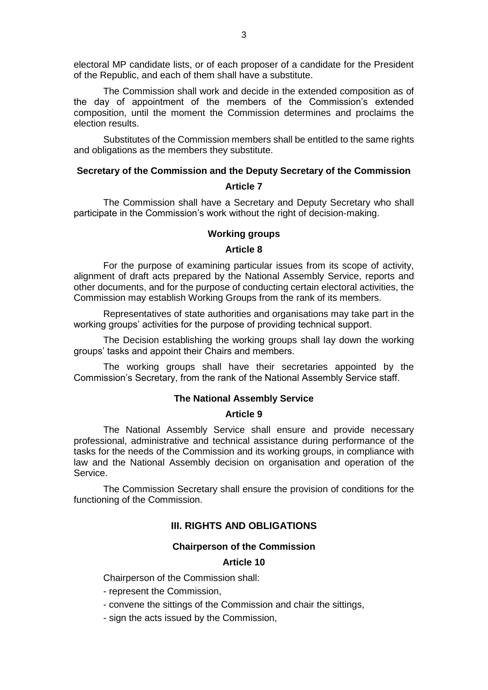electoral MP candidate lists, or of each proposer of a candidate for the President of the Republic, and each of them shall have a substitute.

The Commission shall work and decide in the extended composition as of the day of appointment of the members of the Commission's extended composition, until the moment the Commission determines and proclaims the election results.

Substitutes of the Commission members shall be entitled to the same rights and obligations as the members they substitute.

## **Secretary of the Commission and the Deputy Secretary of the Commission**

# **Article 7**

The Commission shall have a Secretary and Deputy Secretary who shall participate in the Commission's work without the right of decision-making.

# **Working groups**

## **Article 8**

For the purpose of examining particular issues from its scope of activity, alignment of draft acts prepared by the National Assembly Service, reports and other documents, and for the purpose of conducting certain electoral activities, the Commission may establish Working Groups from the rank of its members.

Representatives of state authorities and organisations may take part in the working groups' activities for the purpose of providing technical support.

The Decision establishing the working groups shall lay down the working groups' tasks and appoint their Chairs and members.

The working groups shall have their secretaries appointed by the Commission's Secretary, from the rank of the National Assembly Service staff.

# **The National Assembly Service**

## **Article 9**

The National Assembly Service shall ensure and provide necessary professional, administrative and technical assistance during performance of the tasks for the needs of the Commission and its working groups, in compliance with law and the National Assembly decision on organisation and operation of the Service.

The Commission Secretary shall ensure the provision of conditions for the functioning of the Commission.

# **III. RIGHTS AND OBLIGATIONS**

## **Chairperson of the Commission**

## **Article 10**

Chairperson of the Commission shall:

- represent the Commission,

- convene the sittings of the Commission and chair the sittings,
- sign the acts issued by the Commission,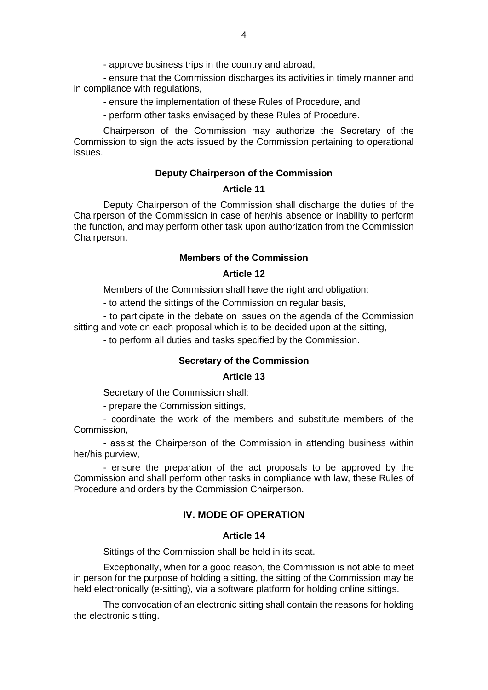- approve business trips in the country and abroad,

- ensure that the Commission discharges its activities in timely manner and in compliance with regulations,

- ensure the implementation of these Rules of Procedure, and

- perform other tasks envisaged by these Rules of Procedure.

Chairperson of the Commission may authorize the Secretary of the Commission to sign the acts issued by the Commission pertaining to operational issues.

#### **Deputy Chairperson of the Commission**

#### **Article 11**

Deputy Chairperson of the Commission shall discharge the duties of the Chairperson of the Commission in case of her/his absence or inability to perform the function, and may perform other task upon authorization from the Commission Chairperson.

# **Members of the Commission**

## **Article 12**

Members of the Commission shall have the right and obligation:

- to attend the sittings of the Commission on regular basis,

- to participate in the debate on issues on the agenda of the Commission sitting and vote on each proposal which is to be decided upon at the sitting,

- to perform all duties and tasks specified by the Commission.

#### **Secretary of the Commission**

#### **Article 13**

Secretary of the Commission shall:

- prepare the Commission sittings,

- coordinate the work of the members and substitute members of the Commission,

- assist the Chairperson of the Commission in attending business within her/his purview,

- ensure the preparation of the act proposals to be approved by the Commission and shall perform other tasks in compliance with law, these Rules of Procedure and orders by the Commission Chairperson.

# **IV. MODE OF OPERATION**

# **Article 14**

Sittings of the Commission shall be held in its seat.

Exceptionally, when for a good reason, the Commission is not able to meet in person for the purpose of holding a sitting, the sitting of the Commission may be held electronically (e-sitting), via a software platform for holding online sittings.

The convocation of an electronic sitting shall contain the reasons for holding the electronic sitting.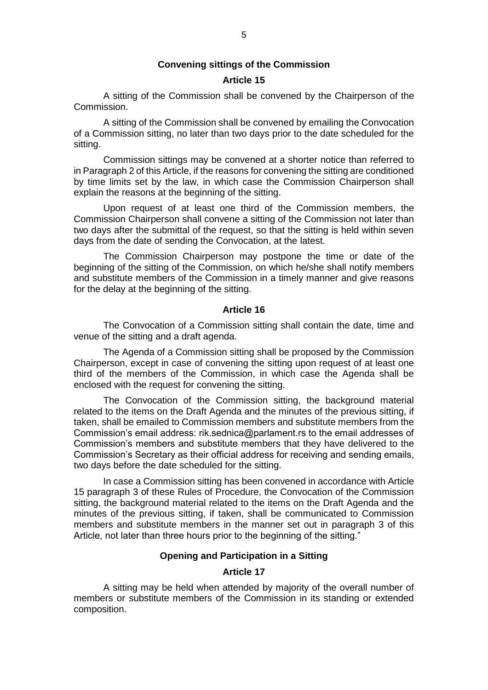## **Convening sittings of the Commission**

# **Article 15**

A sitting of the Commission shall be convened by the Chairperson of the Commission.

A sitting of the Commission shall be convened by emailing the Convocation of a Commission sitting, no later than two days prior to the date scheduled for the sitting.

Commission sittings may be convened at a shorter notice than referred to in Paragraph 2 of this Article, if the reasons for convening the sitting are conditioned by time limits set by the law, in which case the Commission Chairperson shall explain the reasons at the beginning of the sitting.

Upon request of at least one third of the Commission members, the Commission Chairperson shall convene a sitting of the Commission not later than two days after the submittal of the request, so that the sitting is held within seven days from the date of sending the Convocation, at the latest.

The Commission Chairperson may postpone the time or date of the beginning of the sitting of the Commission, on which he/she shall notify members and substitute members of the Commission in a timely manner and give reasons for the delay at the beginning of the sitting.

# **Article 16**

The Convocation of a Commission sitting shall contain the date, time and venue of the sitting and a draft agenda.

The Agenda of a Commission sitting shall be proposed by the Commission Chairperson, except in case of convening the sitting upon request of at least one third of the members of the Commission, in which case the Agenda shall be enclosed with the request for convening the sitting.

The Convocation of the Commission sitting, the background material related to the items on the Draft Agenda and the minutes of the previous sitting, if taken, shall be emailed to Commission members and substitute members from the Commission's email address: rik.sednica@parlament.rs to the email addresses of Commission's members and substitute members that they have delivered to the Commission's Secretary as their official address for receiving and sending emails, two days before the date scheduled for the sitting.

In case a Commission sitting has been convened in accordance with Article 15 paragraph 3 of these Rules of Procedure, the Convocation of the Commission sitting, the background material related to the items on the Draft Agenda and the minutes of the previous sitting, if taken, shall be communicated to Commission members and substitute members in the manner set out in paragraph 3 of this Article, not later than three hours prior to the beginning of the sitting."

#### **Opening and Participation in a Sitting**

## **Article 17**

A sitting may be held when attended by majority of the overall number of members or substitute members of the Commission in its standing or extended composition.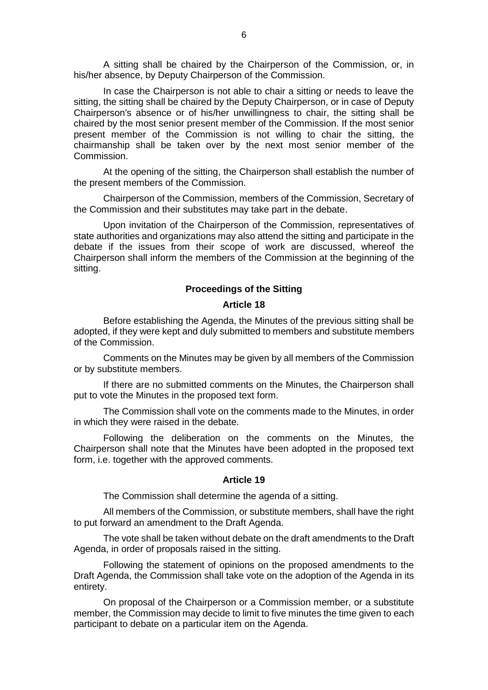A sitting shall be chaired by the Chairperson of the Commission, or, in his/her absence, by Deputy Chairperson of the Commission.

In case the Chairperson is not able to chair a sitting or needs to leave the sitting, the sitting shall be chaired by the Deputy Chairperson, or in case of Deputy Chairperson's absence or of his/her unwillingness to chair, the sitting shall be chaired by the most senior present member of the Commission. If the most senior present member of the Commission is not willing to chair the sitting, the chairmanship shall be taken over by the next most senior member of the Commission.

At the opening of the sitting, the Chairperson shall establish the number of the present members of the Commission.

Chairperson of the Commission, members of the Commission, Secretary of the Commission and their substitutes may take part in the debate.

Upon invitation of the Chairperson of the Commission, representatives of state authorities and organizations may also attend the sitting and participate in the debate if the issues from their scope of work are discussed, whereof the Chairperson shall inform the members of the Commission at the beginning of the sitting.

# **Proceedings of the Sitting**

# **Article 18**

Before establishing the Agenda, the Minutes of the previous sitting shall be adopted, if they were kept and duly submitted to members and substitute members of the Commission.

Comments on the Minutes may be given by all members of the Commission or by substitute members.

If there are no submitted comments on the Minutes, the Chairperson shall put to vote the Minutes in the proposed text form.

The Commission shall vote on the comments made to the Minutes, in order in which they were raised in the debate.

Following the deliberation on the comments on the Minutes, the Chairperson shall note that the Minutes have been adopted in the proposed text form, i.e. together with the approved comments.

#### **Article 19**

The Commission shall determine the agenda of a sitting.

All members of the Commission, or substitute members, shall have the right to put forward an amendment to the Draft Agenda.

The vote shall be taken without debate on the draft amendments to the Draft Agenda, in order of proposals raised in the sitting.

Following the statement of opinions on the proposed amendments to the Draft Agenda, the Commission shall take vote on the adoption of the Agenda in its entirety.

On proposal of the Chairperson or a Commission member, or a substitute member, the Commission may decide to limit to five minutes the time given to each participant to debate on a particular item on the Agenda.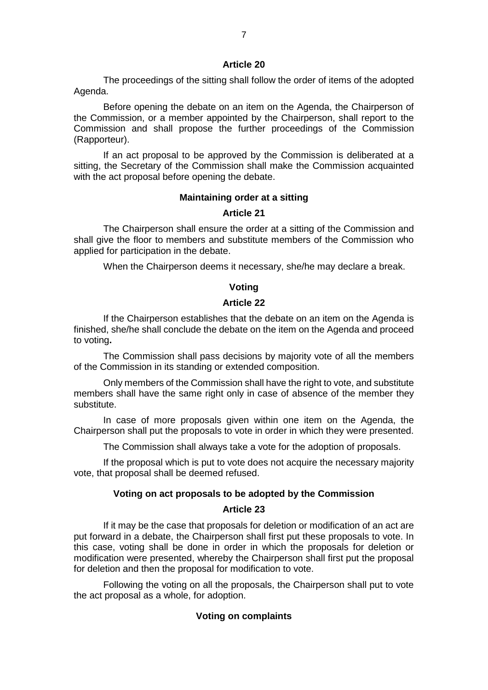The proceedings of the sitting shall follow the order of items of the adopted Agenda.

Before opening the debate on an item on the Agenda, the Chairperson of the Commission, or a member appointed by the Chairperson, shall report to the Commission and shall propose the further proceedings of the Commission (Rapporteur).

If an act proposal to be approved by the Commission is deliberated at a sitting, the Secretary of the Commission shall make the Commission acquainted with the act proposal before opening the debate.

#### **Maintaining order at a sitting**

#### **Article 21**

The Chairperson shall ensure the order at a sitting of the Commission and shall give the floor to members and substitute members of the Commission who applied for participation in the debate.

When the Chairperson deems it necessary, she/he may declare a break.

## **Voting**

# **Article 22**

If the Chairperson establishes that the debate on an item on the Agenda is finished, she/he shall conclude the debate on the item on the Agenda and proceed to voting**.**

The Commission shall pass decisions by majority vote of all the members of the Commission in its standing or extended composition.

Only members of the Commission shall have the right to vote, and substitute members shall have the same right only in case of absence of the member they substitute.

In case of more proposals given within one item on the Agenda, the Chairperson shall put the proposals to vote in order in which they were presented.

The Commission shall always take a vote for the adoption of proposals.

If the proposal which is put to vote does not acquire the necessary majority vote, that proposal shall be deemed refused.

## **Voting on act proposals to be adopted by the Commission**

# **Article 23**

If it may be the case that proposals for deletion or modification of an act are put forward in a debate, the Chairperson shall first put these proposals to vote. In this case, voting shall be done in order in which the proposals for deletion or modification were presented, whereby the Chairperson shall first put the proposal for deletion and then the proposal for modification to vote.

Following the voting on all the proposals, the Chairperson shall put to vote the act proposal as a whole, for adoption.

## **Voting on complaints**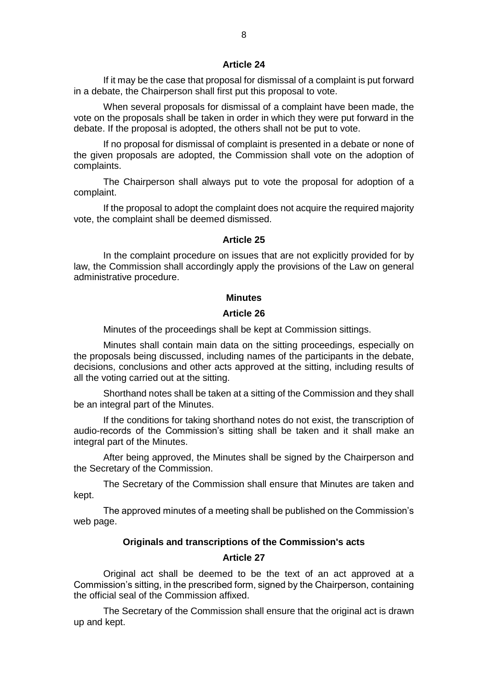If it may be the case that proposal for dismissal of a complaint is put forward in a debate, the Chairperson shall first put this proposal to vote.

When several proposals for dismissal of a complaint have been made, the vote on the proposals shall be taken in order in which they were put forward in the debate. If the proposal is adopted, the others shall not be put to vote.

If no proposal for dismissal of complaint is presented in a debate or none of the given proposals are adopted, the Commission shall vote on the adoption of complaints.

The Chairperson shall always put to vote the proposal for adoption of a complaint.

If the proposal to adopt the complaint does not acquire the required majority vote, the complaint shall be deemed dismissed.

#### **Article 25**

In the complaint procedure on issues that are not explicitly provided for by law, the Commission shall accordingly apply the provisions of the Law on general administrative procedure.

#### **Minutes**

## **Article 26**

Minutes of the proceedings shall be kept at Commission sittings.

Minutes shall contain main data on the sitting proceedings, especially on the proposals being discussed, including names of the participants in the debate, decisions, conclusions and other acts approved at the sitting, including results of all the voting carried out at the sitting.

Shorthand notes shall be taken at a sitting of the Commission and they shall be an integral part of the Minutes.

If the conditions for taking shorthand notes do not exist, the transcription of audio-records of the Commission's sitting shall be taken and it shall make an integral part of the Minutes.

After being approved, the Minutes shall be signed by the Chairperson and the Secretary of the Commission.

The Secretary of the Commission shall ensure that Minutes are taken and kept.

The approved minutes of a meeting shall be published on the Commission's web page.

# **Originals and transcriptions of the Commission's acts**

#### **Article 27**

Original act shall be deemed to be the text of an act approved at a Commission's sitting, in the prescribed form, signed by the Chairperson, containing the official seal of the Commission affixed.

The Secretary of the Commission shall ensure that the original act is drawn up and kept.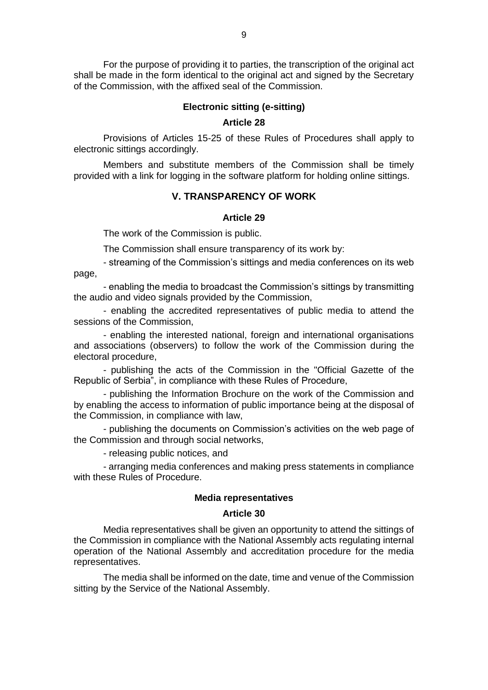For the purpose of providing it to parties, the transcription of the original act shall be made in the form identical to the original act and signed by the Secretary of the Commission, with the affixed seal of the Commission.

## **Electronic sitting (e-sitting)**

### **Article 28**

Provisions of Articles 15-25 of these Rules of Procedures shall apply to electronic sittings accordingly.

Members and substitute members of the Commission shall be timely provided with a link for logging in the software platform for holding online sittings.

# **V. TRANSPARENCY OF WORK**

#### **Article 29**

The work of the Commission is public.

The Commission shall ensure transparency of its work by:

- streaming of the Commission's sittings and media conferences on its web page,

- enabling the media to broadcast the Commission's sittings by transmitting the audio and video signals provided by the Commission,

- enabling the accredited representatives of public media to attend the sessions of the Commission,

- enabling the interested national, foreign and international organisations and associations (observers) to follow the work of the Commission during the electoral procedure,

- publishing the acts of the Commission in the "Official Gazette of the Republic of Serbia", in compliance with these Rules of Procedure,

- publishing the Information Brochure on the work of the Commission and by enabling the access to information of public importance being at the disposal of the Commission, in compliance with law,

- publishing the documents on Commission's activities on the web page of the Commission and through social networks,

- releasing public notices, and

- arranging media conferences and making press statements in compliance with these Rules of Procedure.

#### **Media representatives**

#### **Article 30**

Media representatives shall be given an opportunity to attend the sittings of the Commission in compliance with the National Assembly acts regulating internal operation of the National Assembly and accreditation procedure for the media representatives.

The media shall be informed on the date, time and venue of the Commission sitting by the Service of the National Assembly.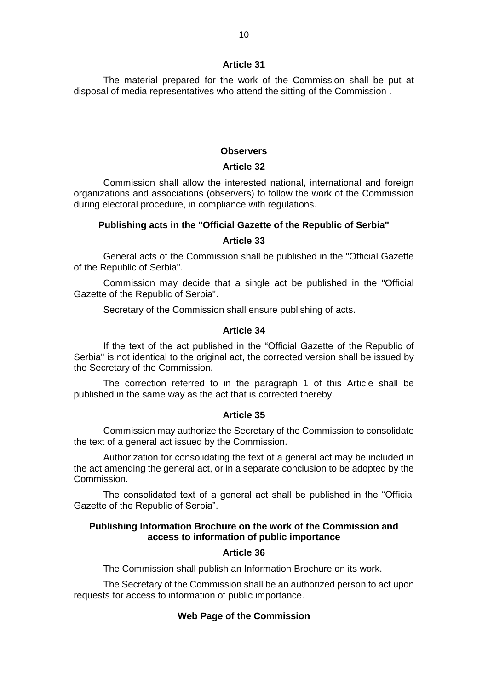The material prepared for the work of the Commission shall be put at disposal of media representatives who attend the sitting of the Commission .

### **Observers**

# **Article 32**

Commission shall allow the interested national, international and foreign organizations and associations (observers) to follow the work of the Commission during electoral procedure, in compliance with regulations.

# **Publishing acts in the "Official Gazette of the Republic of Serbia"**

#### **Article 33**

General acts of the Commission shall be published in the "Official Gazette of the Republic of Serbia".

Commission may decide that a single act be published in the "Official Gazette of the Republic of Serbia".

Secretary of the Commission shall ensure publishing of acts.

# **Article 34**

If the text of the act published in the "Official Gazette of the Republic of Serbia" is not identical to the original act, the corrected version shall be issued by the Secretary of the Commission.

The correction referred to in the paragraph 1 of this Article shall be published in the same way as the act that is corrected thereby.

#### **Article 35**

Commission may authorize the Secretary of the Commission to consolidate the text of a general act issued by the Commission.

Authorization for consolidating the text of a general act may be included in the act amending the general act, or in a separate conclusion to be adopted by the Commission.

The consolidated text of a general act shall be published in the "Official Gazette of the Republic of Serbia".

# **Publishing Information Brochure on the work of the Commission and access to information of public importance**

# **Article 36**

The Commission shall publish an Information Brochure on its work.

The Secretary of the Commission shall be an authorized person to act upon requests for access to information of public importance.

## **Web Page of the Commission**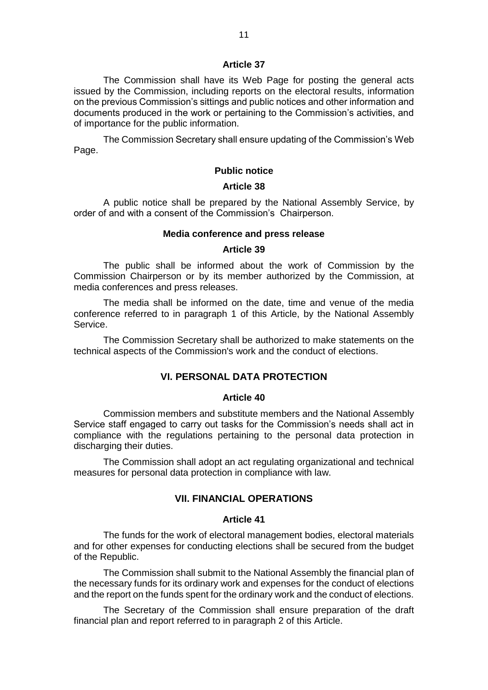The Commission shall have its Web Page for posting the general acts issued by the Commission, including reports on the electoral results, information on the previous Commission's sittings and public notices and other information and documents produced in the work or pertaining to the Commission's activities, and of importance for the public information.

The Commission Secretary shall ensure updating of the Commission's Web Page.

# **Public notice**

#### **Article 38**

A public notice shall be prepared by the National Assembly Service, by order of and with a consent of the Commission's Chairperson.

#### **Media conference and press release**

#### **Article 39**

The public shall be informed about the work of Commission by the Commission Chairperson or by its member authorized by the Commission, at media conferences and press releases.

The media shall be informed on the date, time and venue of the media conference referred to in paragraph 1 of this Article, by the National Assembly Service.

The Commission Secretary shall be authorized to make statements on the technical aspects of the Commission's work and the conduct of elections.

## **VI. PERSONAL DATA PROTECTION**

#### **Article 40**

Commission members and substitute members and the National Assembly Service staff engaged to carry out tasks for the Commission's needs shall act in compliance with the regulations pertaining to the personal data protection in discharging their duties.

The Commission shall adopt an act regulating organizational and technical measures for personal data protection in compliance with law.

# **VII. FINANCIAL OPERATIONS**

## **Article 41**

The funds for the work of electoral management bodies, electoral materials and for other expenses for conducting elections shall be secured from the budget of the Republic.

The Commission shall submit to the National Assembly the financial plan of the necessary funds for its ordinary work and expenses for the conduct of elections and the report on the funds spent for the ordinary work and the conduct of elections.

The Secretary of the Commission shall ensure preparation of the draft financial plan and report referred to in paragraph 2 of this Article.